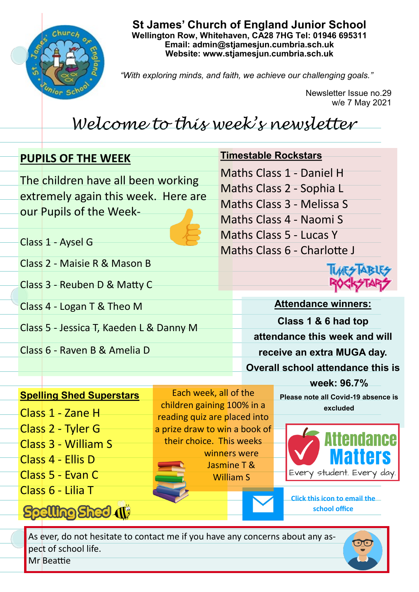

**St James' Church of England Junior School Wellington Row, Whitehaven, CA28 7HG Tel: 01946 695311 Email: admin@stjamesjun.cumbria.sch.uk Website: www.stjamesjun.cumbria.sch.uk**

*"With exploring minds, and faith, we achieve our challenging goals."*

Newsletter Issue no.29 w/e 7 May 2021

## *Welcome to this week's newsletter*

## **PUPILS OF THE WEEK**

The children have all been working extremely again this week. Here are our Pupils of the Week-

Class 1 - Aysel G

Class 2 - Maisie R & Mason B

Class 3 - Reuben D & Matty C

Class 4 - Logan T & Theo M

Class 5 - Jessica T, Kaeden L & Danny M

Class 6 - Raven B & Amelia D

## **Timestable Rockstars**

Maths Class 1 - Daniel H Maths Class 2 - Sophia L

Maths Class 3 - Melissa S

Maths Class 4 - Naomi S

Maths Class 5 - Lucas Y

Maths Class 6 - Charlotte J

**TIMES AB** 

**Attendance winners: Class 1 & 6 had top attendance this week and will receive an extra MUGA day. Overall school attendance this is** 

## **Spelling Shed Superstars**

Class 1 - Zane H

- Class 2 Tyler G
- Class 3 William S
- Class 4 Ellis D
- Class 5 Evan C
- Class 6 Lilia T

Spelling Shed (1)

Each week, all of the children gaining 100% in a reading quiz are placed into a prize draw to win a book of their choice. This weeks winners were Jasmine T & William S

**Please note all Covid-19 absence is excluded** 

**week: 96.7%**

Every student. Every day

**Click this icon to email the school office**

As ever, do not hesitate to contact me if you have any concerns about any aspect of school life. Mr Beattie

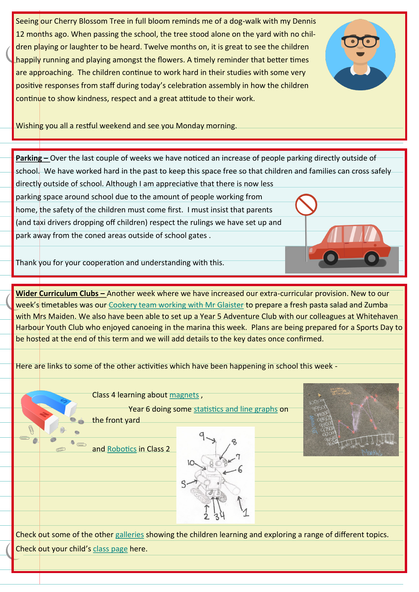Seeing our Cherry Blossom Tree in full bloom reminds me of a dog-walk with my Dennis 12 months ago. When passing the school, the tree stood alone on the yard with no children playing or laughter to be heard. Twelve months on, it is great to see the children happily running and playing amongst the flowers. A timely reminder that better times are approaching. The children continue to work hard in their studies with some very positive responses from staff during today's celebration assembly in how the children continue to show kindness, respect and a great attitude to their work.



Wishing you all a restful weekend and see you Monday morning.

**Parking –** Over the last couple of weeks we have noticed an increase of people parking directly outside of school. We have worked hard in the past to keep this space free so that children and families can cross safely directly outside of school. Although I am appreciative that there is now less

parking space around school due to the amount of people working from home, the safety of the children must come first. I must insist that parents (and taxi drivers dropping off children) respect the rulings we have set up and park away from the coned areas outside of school gates .

Thank you for your cooperation and understanding with this.

**Wider Curriculum Clubs –** Another week where we have increased our extra-curricular provision. New to our week's timetables was our [Cookery team working with Mr Glaister](http://www.stjamesjun.cumbria.sch.uk/work/cookery-club/65221) to prepare a fresh pasta salad and Zumba with Mrs Maiden. We also have been able to set up a Year 5 Adventure Club with our colleagues at Whitehaven Harbour Youth Club who enjoyed canoeing in the marina this week. Plans are being prepared for a Sports Day to be hosted at the end of this term and we will add details to the key dates once confirmed.

Here are links to some of the other activities which have been happening in school this week -

Class 4 learning about [magnets](http://www.stjamesjun.cumbria.sch.uk/work/magnets/65135) ,

Year 6 doing some [statistics and line graphs](http://www.stjamesjun.cumbria.sch.uk/work/year-6-maths-statistics-line-graphs/64929) on

the front yard

and [Robotics](http://www.stjamesjun.cumbria.sch.uk/work/class-2-robotics/65090) in Class 2





Check out some of the other [galleries](http://www.stjamesjun.cumbria.sch.uk/works) showing the children learning and exploring a range of different topics. Check out your child's [class page](http://www.stjamesjun.cumbria.sch.uk/classes) here.